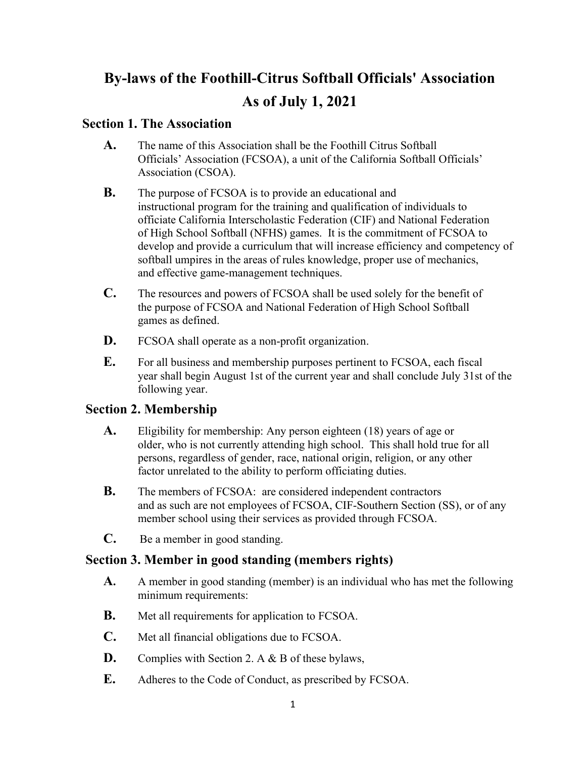# **By-laws of the Foothill-Citrus Softball Officials' Association As of July 1, 2021**

#### **Section 1. The Association**

- **A.** The name of this Association shall be the Foothill Citrus Softball Officials' Association (FCSOA), a unit of the California Softball Officials' Association (CSOA).
- **B.** The purpose of FCSOA is to provide an educational and instructional program for the training and qualification of individuals to officiate California Interscholastic Federation (CIF) and National Federation of High School Softball (NFHS) games. It is the commitment of FCSOA to develop and provide a curriculum that will increase efficiency and competency of softball umpires in the areas of rules knowledge, proper use of mechanics, and effective game-management techniques.
- **C.** The resources and powers of FCSOA shall be used solely for the benefit of the purpose of FCSOA and National Federation of High School Softball games as defined.
- **D.** FCSOA shall operate as a non-profit organization.
- **E.** For all business and membership purposes pertinent to FCSOA, each fiscal year shall begin August 1st of the current year and shall conclude July 31st of the following year.

# **Section 2. Membership**

- **A.** Eligibility for membership: Any person eighteen (18) years of age or older, who is not currently attending high school. This shall hold true for all persons, regardless of gender, race, national origin, religion, or any other factor unrelated to the ability to perform officiating duties.
- **B.** The members of FCSOA: are considered independent contractors and as such are not employees of FCSOA, CIF-Southern Section (SS), or of any member school using their services as provided through FCSOA.
- **C.** Be a member in good standing.

# **Section 3. Member in good standing (members rights)**

- **A.** A member in good standing (member) is an individual who has met the following minimum requirements:
- **B.** Met all requirements for application to FCSOA.
- **C.** Met all financial obligations due to FCSOA.
- **D.** Complies with Section 2. A & B of these bylaws,
- **E.** Adheres to the Code of Conduct, as prescribed by FCSOA.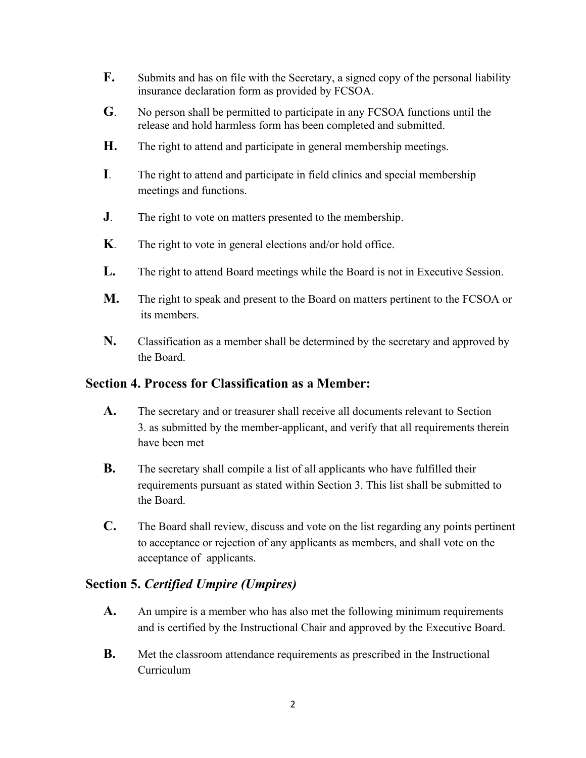- **F.** Submits and has on file with the Secretary, a signed copy of the personal liability insurance declaration form as provided by FCSOA.
- **G**. No person shall be permitted to participate in any FCSOA functions until the release and hold harmless form has been completed and submitted.
- **H.** The right to attend and participate in general membership meetings.
- **I**. The right to attend and participate in field clinics and special membership meetings and functions.
- **J**. The right to vote on matters presented to the membership.
- **K**. The right to vote in general elections and/or hold office.
- **L.** The right to attend Board meetings while the Board is not in Executive Session.
- **M.** The right to speak and present to the Board on matters pertinent to the FCSOA or its members.
- **N.** Classification as a member shall be determined by the secretary and approved by the Board.

## **Section 4. Process for Classification as a Member:**

- **A.** The secretary and or treasurer shall receive all documents relevant to Section 3. as submitted by the member-applicant, and verify that all requirements therein have been met
- **B.** The secretary shall compile a list of all applicants who have fulfilled their requirements pursuant as stated within Section 3. This list shall be submitted to the Board.
- **C.** The Board shall review, discuss and vote on the list regarding any points pertinent to acceptance or rejection of any applicants as members, and shall vote on the acceptance of applicants.

#### **Section 5.** *Certified Umpire (Umpires)*

- **A.** An umpire is a member who has also met the following minimum requirements and is certified by the Instructional Chair and approved by the Executive Board.
- **B.** Met the classroom attendance requirements as prescribed in the Instructional Curriculum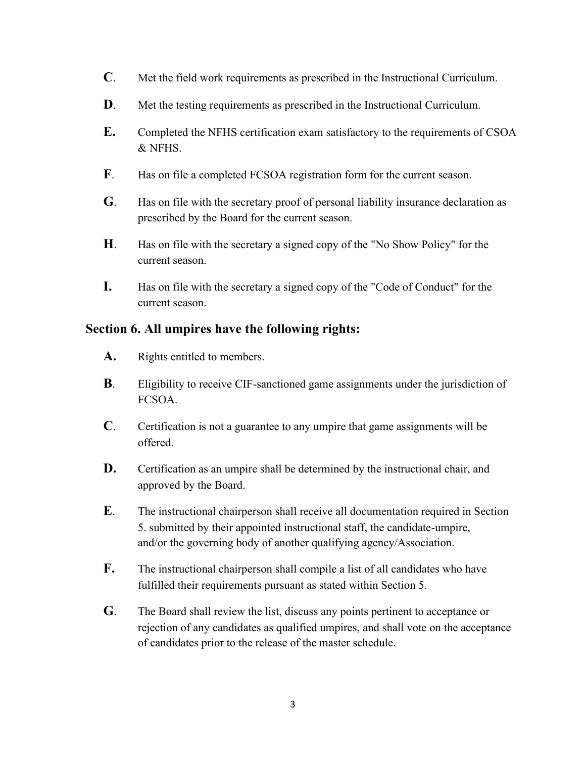- **C**. Met the field work requirements as prescribed in the Instructional Curriculum.
- **D**. Met the testing requirements as prescribed in the Instructional Curriculum.
- **E.** Completed the NFHS certification exam satisfactory to the requirements of CSOA & NFHS.
- **F**. Has on file a completed FCSOA registration form for the current season.
- **G**. Has on file with the secretary proof of personal liability insurance declaration as prescribed by the Board for the current season.
- **H**. Has on file with the secretary a signed copy of the "No Show Policy" for the current season.
- **I.** Has on file with the secretary a signed copy of the "Code of Conduct" for the current season.

#### **Section 6. All umpires have the following rights:**

- **A.** Rights entitled to members.
- **B**. Eligibility to receive CIF-sanctioned game assignments under the jurisdiction of FCSOA.
- **C**. Certification is not a guarantee to any umpire that game assignments will be offered.
- **D.** Certification as an umpire shall be determined by the instructional chair, and approved by the Board.
- **E**. The instructional chairperson shall receive all documentation required in Section 5. submitted by their appointed instructional staff, the candidate-umpire, and/or the governing body of another qualifying agency/Association.
- **F.** The instructional chairperson shall compile a list of all candidates who have fulfilled their requirements pursuant as stated within Section 5.
- **G**. The Board shall review the list, discuss any points pertinent to acceptance or rejection of any candidates as qualified umpires, and shall vote on the acceptance of candidates prior to the release of the master schedule.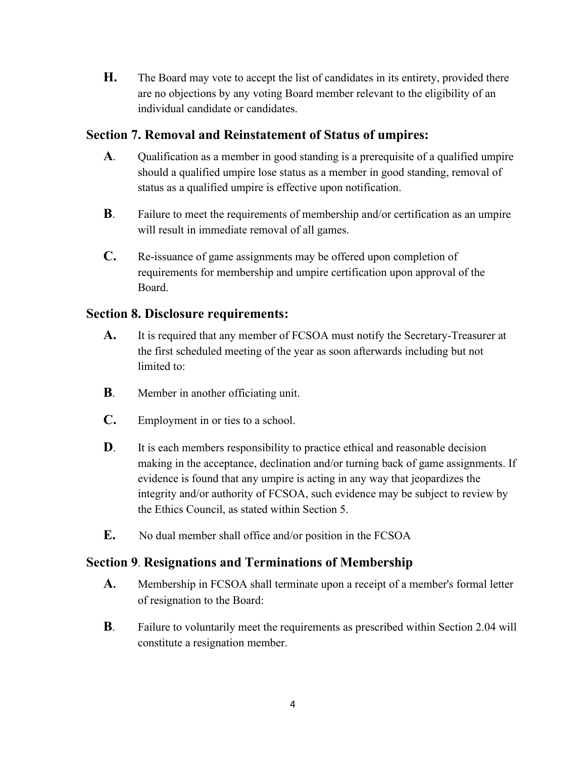**H.** The Board may vote to accept the list of candidates in its entirety, provided there are no objections by any voting Board member relevant to the eligibility of an individual candidate or candidates.

#### **Section 7. Removal and Reinstatement of Status of umpires:**

- **A**. Qualification as a member in good standing is a prerequisite of a qualified umpire should a qualified umpire lose status as a member in good standing, removal of status as a qualified umpire is effective upon notification.
- **B**. Failure to meet the requirements of membership and/or certification as an umpire will result in immediate removal of all games.
- **C.** Re-issuance of game assignments may be offered upon completion of requirements for membership and umpire certification upon approval of the Board.

#### **Section 8. Disclosure requirements:**

- **A.** It is required that any member of FCSOA must notify the Secretary-Treasurer at the first scheduled meeting of the year as soon afterwards including but not limited to:
- **B**. Member in another officiating unit.
- **C.** Employment in or ties to a school.
- **D**. It is each members responsibility to practice ethical and reasonable decision making in the acceptance, declination and/or turning back of game assignments. If evidence is found that any umpire is acting in any way that jeopardizes the integrity and/or authority of FCSOA, such evidence may be subject to review by the Ethics Council, as stated within Section 5.
- **E.** No dual member shall office and/or position in the FCSOA

## **Section 9**. **Resignations and Terminations of Membership**

- **A.** Membership in FCSOA shall terminate upon a receipt of a member's formal letter of resignation to the Board:
- **B**. Failure to voluntarily meet the requirements as prescribed within Section 2.04 will constitute a resignation member.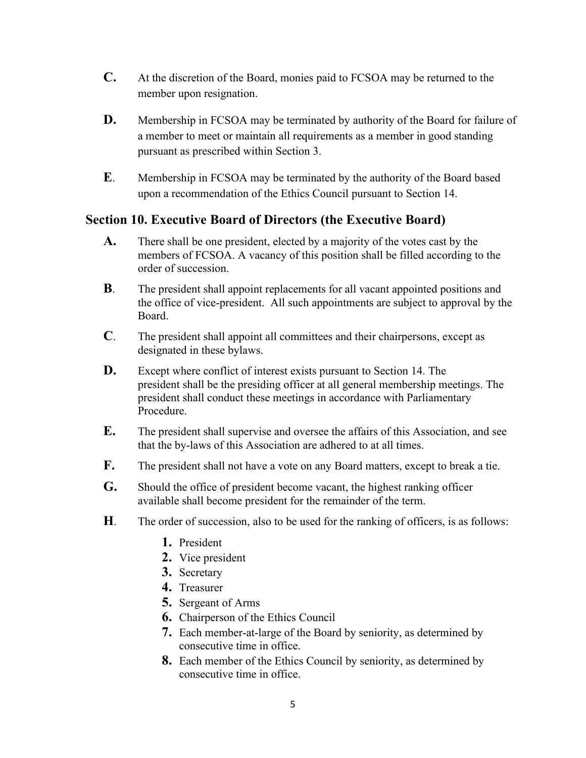- **C.** At the discretion of the Board, monies paid to FCSOA may be returned to the member upon resignation.
- **D.** Membership in FCSOA may be terminated by authority of the Board for failure of a member to meet or maintain all requirements as a member in good standing pursuant as prescribed within Section 3.
- **E**. Membership in FCSOA may be terminated by the authority of the Board based upon a recommendation of the Ethics Council pursuant to Section 14.

#### **Section 10. Executive Board of Directors (the Executive Board)**

- **A.** There shall be one president, elected by a majority of the votes cast by the members of FCSOA. A vacancy of this position shall be filled according to the order of succession.
- **B**. The president shall appoint replacements for all vacant appointed positions and the office of vice-president. All such appointments are subject to approval by the Board.
- **C**. The president shall appoint all committees and their chairpersons, except as designated in these bylaws.
- **D.** Except where conflict of interest exists pursuant to Section 14. The president shall be the presiding officer at all general membership meetings. The president shall conduct these meetings in accordance with Parliamentary Procedure.
- **E.** The president shall supervise and oversee the affairs of this Association, and see that the by-laws of this Association are adhered to at all times.
- **F.** The president shall not have a vote on any Board matters, except to break a tie.
- **G.** Should the office of president become vacant, the highest ranking officer available shall become president for the remainder of the term.
- **H**. The order of succession, also to be used for the ranking of officers, is as follows:
	- **1.** President
	- **2.** Vice president
	- **3.** Secretary
	- **4.** Treasurer
	- **5.** Sergeant of Arms
	- **6.** Chairperson of the Ethics Council
	- **7.** Each member-at-large of the Board by seniority, as determined by consecutive time in office.
	- **8.** Each member of the Ethics Council by seniority, as determined by consecutive time in office.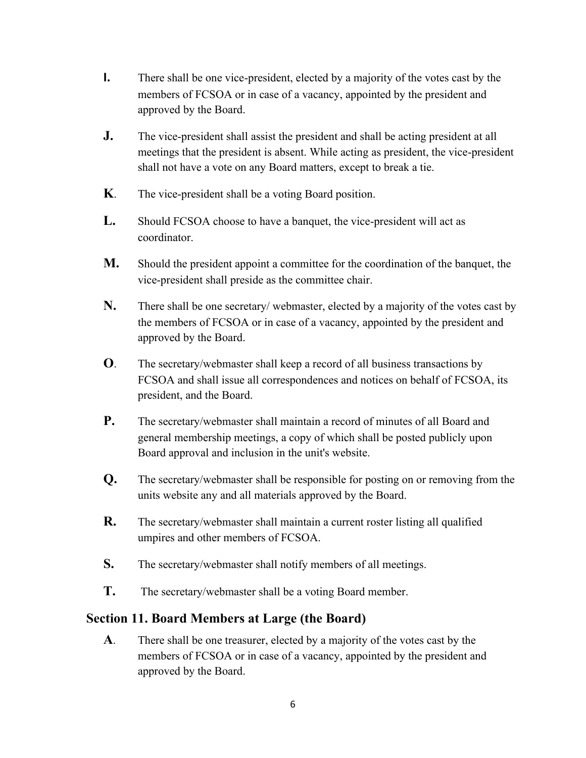- **I.** There shall be one vice-president, elected by a majority of the votes cast by the members of FCSOA or in case of a vacancy, appointed by the president and approved by the Board.
- **J.** The vice-president shall assist the president and shall be acting president at all meetings that the president is absent. While acting as president, the vice-president shall not have a vote on any Board matters, except to break a tie.
- **K**. The vice-president shall be a voting Board position.
- **L.** Should FCSOA choose to have a banquet, the vice-president will act as coordinator.
- **M.** Should the president appoint a committee for the coordination of the banquet, the vice-president shall preside as the committee chair.
- **N.** There shall be one secretary/ webmaster, elected by a majority of the votes cast by the members of FCSOA or in case of a vacancy, appointed by the president and approved by the Board.
- **O**. The secretary/webmaster shall keep a record of all business transactions by FCSOA and shall issue all correspondences and notices on behalf of FCSOA, its president, and the Board.
- **P.** The secretary/webmaster shall maintain a record of minutes of all Board and general membership meetings, a copy of which shall be posted publicly upon Board approval and inclusion in the unit's website.
- **Q.** The secretary/webmaster shall be responsible for posting on or removing from the units website any and all materials approved by the Board.
- **R.** The secretary/webmaster shall maintain a current roster listing all qualified umpires and other members of FCSOA.
- **S.** The secretary/webmaster shall notify members of all meetings.
- **T.** The secretary/webmaster shall be a voting Board member.

## **Section 11. Board Members at Large (the Board)**

**A**. There shall be one treasurer, elected by a majority of the votes cast by the members of FCSOA or in case of a vacancy, appointed by the president and approved by the Board.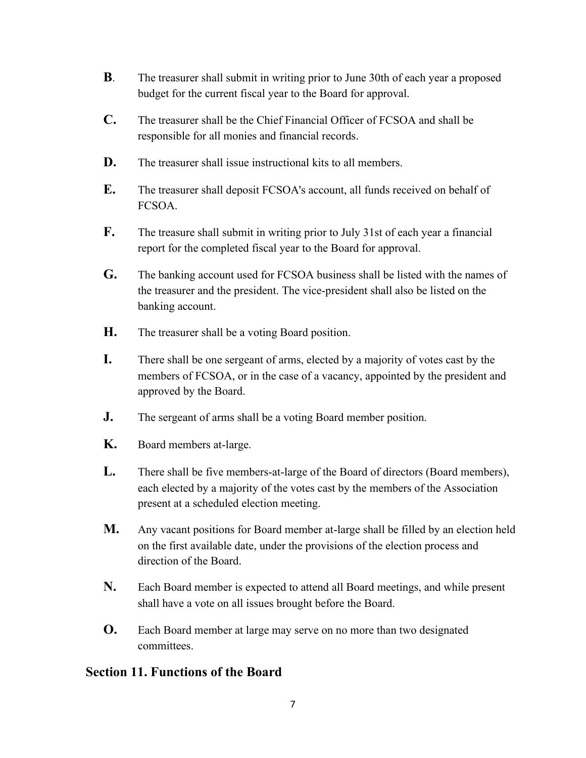- **B**. The treasurer shall submit in writing prior to June 30th of each year a proposed budget for the current fiscal year to the Board for approval.
- **C.** The treasurer shall be the Chief Financial Officer of FCSOA and shall be responsible for all monies and financial records.
- **D.** The treasurer shall issue instructional kits to all members.
- **E.** The treasurer shall deposit FCSOA's account, all funds received on behalf of FCSOA.
- **F.** The treasure shall submit in writing prior to July 31st of each year a financial report for the completed fiscal year to the Board for approval.
- **G.** The banking account used for FCSOA business shall be listed with the names of the treasurer and the president. The vice-president shall also be listed on the banking account.
- **H.** The treasurer shall be a voting Board position.
- **I.** There shall be one sergeant of arms, elected by a majority of votes cast by the members of FCSOA, or in the case of a vacancy, appointed by the president and approved by the Board.
- **J.** The sergeant of arms shall be a voting Board member position.
- **K.** Board members at-large.
- **L.** There shall be five members-at-large of the Board of directors (Board members), each elected by a majority of the votes cast by the members of the Association present at a scheduled election meeting.
- **M.** Any vacant positions for Board member at-large shall be filled by an election held on the first available date, under the provisions of the election process and direction of the Board.
- **N.** Each Board member is expected to attend all Board meetings, and while present shall have a vote on all issues brought before the Board.
- **O.** Each Board member at large may serve on no more than two designated committees.

#### **Section 11. Functions of the Board**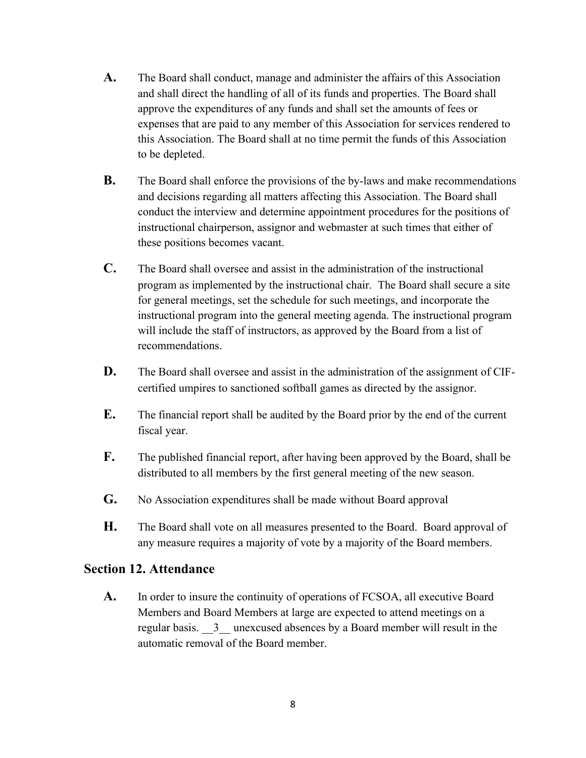- **A.** The Board shall conduct, manage and administer the affairs of this Association and shall direct the handling of all of its funds and properties. The Board shall approve the expenditures of any funds and shall set the amounts of fees or expenses that are paid to any member of this Association for services rendered to this Association. The Board shall at no time permit the funds of this Association to be depleted.
- **B.** The Board shall enforce the provisions of the by-laws and make recommendations and decisions regarding all matters affecting this Association. The Board shall conduct the interview and determine appointment procedures for the positions of instructional chairperson, assignor and webmaster at such times that either of these positions becomes vacant.
- **C.** The Board shall oversee and assist in the administration of the instructional program as implemented by the instructional chair. The Board shall secure a site for general meetings, set the schedule for such meetings, and incorporate the instructional program into the general meeting agenda. The instructional program will include the staff of instructors, as approved by the Board from a list of recommendations.
- **D.** The Board shall oversee and assist in the administration of the assignment of CIFcertified umpires to sanctioned softball games as directed by the assignor.
- **E.** The financial report shall be audited by the Board prior by the end of the current fiscal year.
- **F.** The published financial report, after having been approved by the Board, shall be distributed to all members by the first general meeting of the new season.
- **G.** No Association expenditures shall be made without Board approval
- **H.** The Board shall vote on all measures presented to the Board. Board approval of any measure requires a majority of vote by a majority of the Board members.

#### **Section 12. Attendance**

**A.** In order to insure the continuity of operations of FCSOA, all executive Board Members and Board Members at large are expected to attend meetings on a regular basis.  $\overline{3}$  unexcused absences by a Board member will result in the automatic removal of the Board member.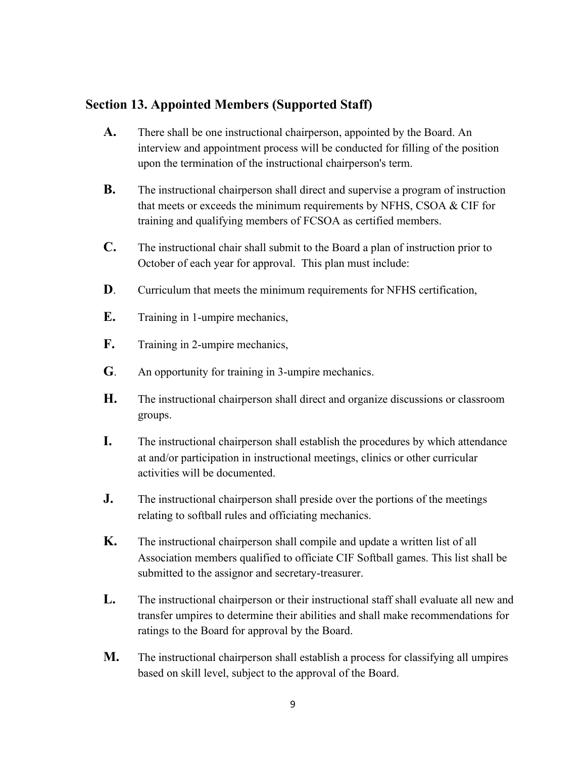## **Section 13. Appointed Members (Supported Staff)**

- **A.** There shall be one instructional chairperson, appointed by the Board. An interview and appointment process will be conducted for filling of the position upon the termination of the instructional chairperson's term.
- **B.** The instructional chairperson shall direct and supervise a program of instruction that meets or exceeds the minimum requirements by NFHS, CSOA & CIF for training and qualifying members of FCSOA as certified members.
- **C.** The instructional chair shall submit to the Board a plan of instruction prior to October of each year for approval. This plan must include:
- **D**. Curriculum that meets the minimum requirements for NFHS certification,
- **E.** Training in 1-umpire mechanics,
- F. Training in 2-umpire mechanics,
- **G**. An opportunity for training in 3-umpire mechanics.
- **H.** The instructional chairperson shall direct and organize discussions or classroom groups.
- **I.** The instructional chairperson shall establish the procedures by which attendance at and/or participation in instructional meetings, clinics or other curricular activities will be documented.
- **J.** The instructional chairperson shall preside over the portions of the meetings relating to softball rules and officiating mechanics.
- **K.** The instructional chairperson shall compile and update a written list of all Association members qualified to officiate CIF Softball games. This list shall be submitted to the assignor and secretary-treasurer.
- **L.** The instructional chairperson or their instructional staff shall evaluate all new and transfer umpires to determine their abilities and shall make recommendations for ratings to the Board for approval by the Board.
- **M.** The instructional chairperson shall establish a process for classifying all umpires based on skill level, subject to the approval of the Board.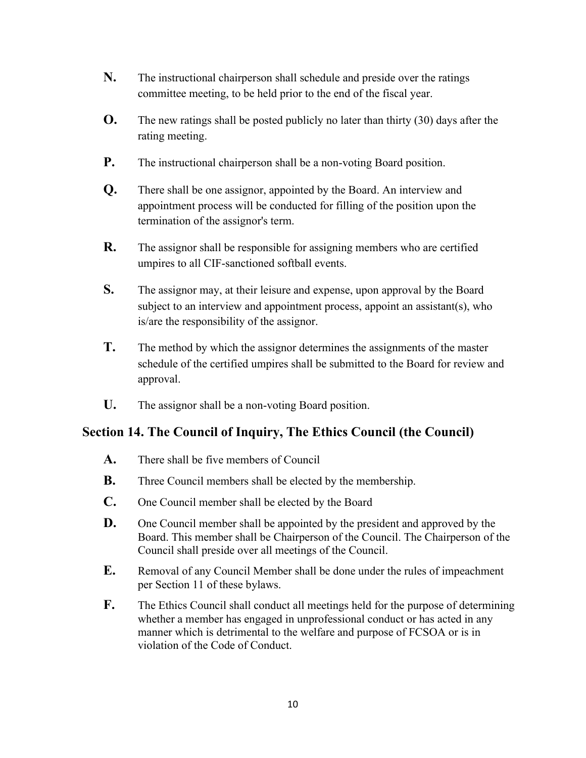- **N.** The instructional chairperson shall schedule and preside over the ratings committee meeting, to be held prior to the end of the fiscal year.
- **O.** The new ratings shall be posted publicly no later than thirty (30) days after the rating meeting.
- **P.** The instructional chairperson shall be a non-voting Board position.
- **Q.** There shall be one assignor, appointed by the Board. An interview and appointment process will be conducted for filling of the position upon the termination of the assignor's term.
- **R.** The assignor shall be responsible for assigning members who are certified umpires to all CIF-sanctioned softball events.
- **S.** The assignor may, at their leisure and expense, upon approval by the Board subject to an interview and appointment process, appoint an assistant(s), who is/are the responsibility of the assignor.
- **T.** The method by which the assignor determines the assignments of the master schedule of the certified umpires shall be submitted to the Board for review and approval.
- **U.** The assignor shall be a non-voting Board position.

#### **Section 14. The Council of Inquiry, The Ethics Council (the Council)**

- **A.** There shall be five members of Council
- **B.** Three Council members shall be elected by the membership.
- **C.** One Council member shall be elected by the Board
- **D.** One Council member shall be appointed by the president and approved by the Board. This member shall be Chairperson of the Council. The Chairperson of the Council shall preside over all meetings of the Council.
- **E.** Removal of any Council Member shall be done under the rules of impeachment per Section 11 of these bylaws.
- **F.** The Ethics Council shall conduct all meetings held for the purpose of determining whether a member has engaged in unprofessional conduct or has acted in any manner which is detrimental to the welfare and purpose of FCSOA or is in violation of the Code of Conduct.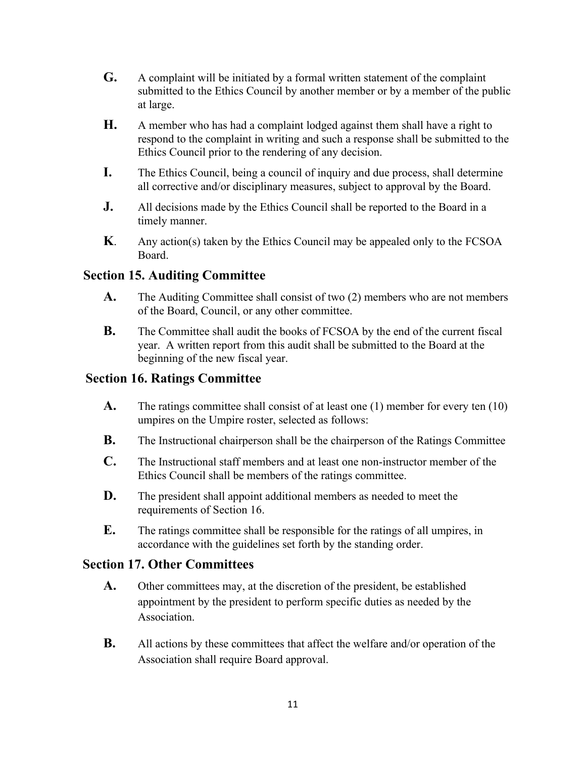- **G.** A complaint will be initiated by a formal written statement of the complaint submitted to the Ethics Council by another member or by a member of the public at large.
- **H.** A member who has had a complaint lodged against them shall have a right to respond to the complaint in writing and such a response shall be submitted to the Ethics Council prior to the rendering of any decision.
- **I.** The Ethics Council, being a council of inquiry and due process, shall determine all corrective and/or disciplinary measures, subject to approval by the Board.
- **J.** All decisions made by the Ethics Council shall be reported to the Board in a timely manner.
- **K**. Any action(s) taken by the Ethics Council may be appealed only to the FCSOA Board.

## **Section 15. Auditing Committee**

- **A.** The Auditing Committee shall consist of two (2) members who are not members of the Board, Council, or any other committee.
- **B.** The Committee shall audit the books of FCSOA by the end of the current fiscal year. A written report from this audit shall be submitted to the Board at the beginning of the new fiscal year.

## **Section 16. Ratings Committee**

- **A.** The ratings committee shall consist of at least one (1) member for every ten (10) umpires on the Umpire roster, selected as follows:
- **B.** The Instructional chairperson shall be the chairperson of the Ratings Committee
- **C.** The Instructional staff members and at least one non-instructor member of the Ethics Council shall be members of the ratings committee.
- **D.** The president shall appoint additional members as needed to meet the requirements of Section 16.
- **E.** The ratings committee shall be responsible for the ratings of all umpires, in accordance with the guidelines set forth by the standing order.

#### **Section 17. Other Committees**

- **A.** Other committees may, at the discretion of the president, be established appointment by the president to perform specific duties as needed by the Association.
- **B.** All actions by these committees that affect the welfare and/or operation of the Association shall require Board approval.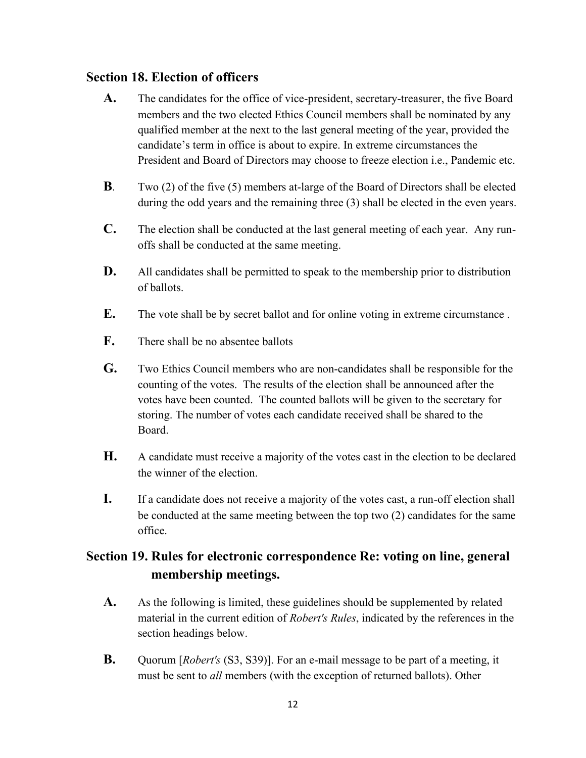#### **Section 18. Election of officers**

- **A.** The candidates for the office of vice-president, secretary-treasurer, the five Board members and the two elected Ethics Council members shall be nominated by any qualified member at the next to the last general meeting of the year, provided the candidate's term in office is about to expire. In extreme circumstances the President and Board of Directors may choose to freeze election i.e., Pandemic etc.
- **B**. Two (2) of the five (5) members at-large of the Board of Directors shall be elected during the odd years and the remaining three (3) shall be elected in the even years.
- **C.** The election shall be conducted at the last general meeting of each year. Any runoffs shall be conducted at the same meeting.
- **D.** All candidates shall be permitted to speak to the membership prior to distribution of ballots.
- **E.** The vote shall be by secret ballot and for online voting in extreme circumstance .
- **F.** There shall be no absentee ballots
- **G.** Two Ethics Council members who are non-candidates shall be responsible for the counting of the votes. The results of the election shall be announced after the votes have been counted. The counted ballots will be given to the secretary for storing. The number of votes each candidate received shall be shared to the Board.
- **H.** A candidate must receive a majority of the votes cast in the election to be declared the winner of the election.
- **I.** If a candidate does not receive a majority of the votes cast, a run-off election shall be conducted at the same meeting between the top two (2) candidates for the same office.

# **Section 19. Rules for electronic correspondence Re: voting on line, general membership meetings.**

- **A.** As the following is limited, these guidelines should be supplemented by related material in the current edition of *Robert's Rules*, indicated by the references in the section headings below.
- **B.** Quorum [*Robert's* (S3, S39)]. For an e-mail message to be part of a meeting, it must be sent to *all* members (with the exception of returned ballots). Other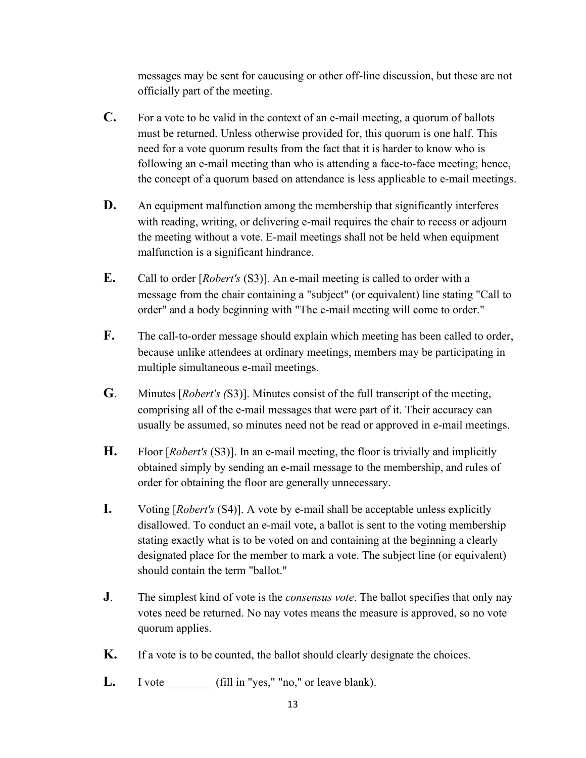messages may be sent for caucusing or other off-line discussion, but these are not officially part of the meeting.

- **C.** For a vote to be valid in the context of an e-mail meeting, a quorum of ballots must be returned. Unless otherwise provided for, this quorum is one half. This need for a vote quorum results from the fact that it is harder to know who is following an e-mail meeting than who is attending a face-to-face meeting; hence, the concept of a quorum based on attendance is less applicable to e-mail meetings.
- **D.** An equipment malfunction among the membership that significantly interferes with reading, writing, or delivering e-mail requires the chair to recess or adjourn the meeting without a vote. E-mail meetings shall not be held when equipment malfunction is a significant hindrance.
- **E.** Call to order [*Robert's* (S3)]. An e-mail meeting is called to order with a message from the chair containing a "subject" (or equivalent) line stating "Call to order" and a body beginning with "The e-mail meeting will come to order."
- **F.** The call-to-order message should explain which meeting has been called to order, because unlike attendees at ordinary meetings, members may be participating in multiple simultaneous e-mail meetings.
- **G**. Minutes [*Robert's (*S3)]. Minutes consist of the full transcript of the meeting, comprising all of the e-mail messages that were part of it. Their accuracy can usually be assumed, so minutes need not be read or approved in e-mail meetings.
- **H.** Floor [*Robert's* (S3)]. In an e-mail meeting, the floor is trivially and implicitly obtained simply by sending an e-mail message to the membership, and rules of order for obtaining the floor are generally unnecessary.
- **I.** Voting [*Robert's* (S4)]. A vote by e-mail shall be acceptable unless explicitly disallowed. To conduct an e-mail vote, a ballot is sent to the voting membership stating exactly what is to be voted on and containing at the beginning a clearly designated place for the member to mark a vote. The subject line (or equivalent) should contain the term "ballot."
- **J**. The simplest kind of vote is the *consensus vote*. The ballot specifies that only nay votes need be returned. No nay votes means the measure is approved, so no vote quorum applies.
- **K.** If a vote is to be counted, the ballot should clearly designate the choices.
- L. I vote \_\_\_\_\_\_\_\_ (fill in "yes," "no," or leave blank).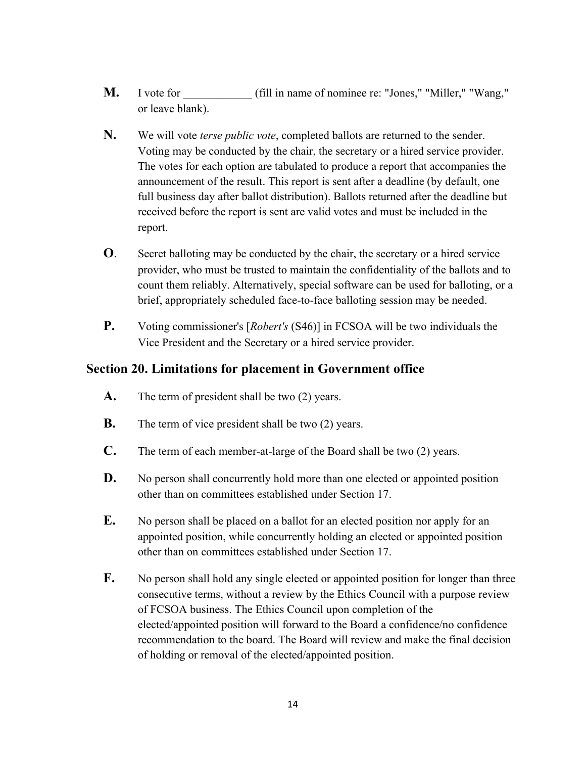- **M.** I vote for  $\qquad \qquad$  (fill in name of nominee re: "Jones," "Miller," "Wang," or leave blank).
- **N.** We will vote *terse public vote*, completed ballots are returned to the sender. Voting may be conducted by the chair, the secretary or a hired service provider. The votes for each option are tabulated to produce a report that accompanies the announcement of the result. This report is sent after a deadline (by default, one full business day after ballot distribution). Ballots returned after the deadline but received before the report is sent are valid votes and must be included in the report.
- **O**. Secret balloting may be conducted by the chair, the secretary or a hired service provider, who must be trusted to maintain the confidentiality of the ballots and to count them reliably. Alternatively, special software can be used for balloting, or a brief, appropriately scheduled face-to-face balloting session may be needed.
- **P.** Voting commissioner's [*Robert's* (S46)] in FCSOA will be two individuals the Vice President and the Secretary or a hired service provider.

#### **Section 20. Limitations for placement in Government office**

- **A.** The term of president shall be two (2) years.
- **B.** The term of vice president shall be two (2) years.
- **C.** The term of each member-at-large of the Board shall be two (2) years.
- **D.** No person shall concurrently hold more than one elected or appointed position other than on committees established under Section 17.
- **E.** No person shall be placed on a ballot for an elected position nor apply for an appointed position, while concurrently holding an elected or appointed position other than on committees established under Section 17.
- **F.** No person shall hold any single elected or appointed position for longer than three consecutive terms, without a review by the Ethics Council with a purpose review of FCSOA business. The Ethics Council upon completion of the elected/appointed position will forward to the Board a confidence/no confidence recommendation to the board. The Board will review and make the final decision of holding or removal of the elected/appointed position.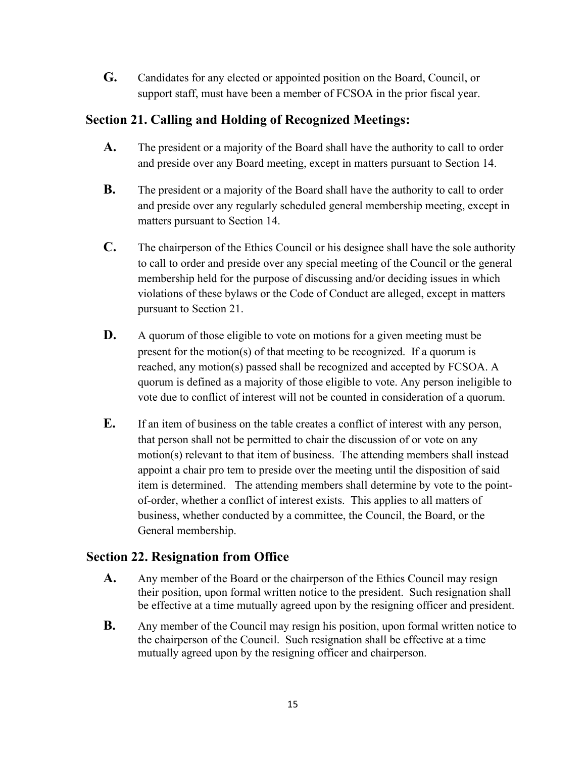**G.** Candidates for any elected or appointed position on the Board, Council, or support staff, must have been a member of FCSOA in the prior fiscal year.

## **Section 21. Calling and Holding of Recognized Meetings:**

- **A.** The president or a majority of the Board shall have the authority to call to order and preside over any Board meeting, except in matters pursuant to Section 14.
- **B.** The president or a majority of the Board shall have the authority to call to order and preside over any regularly scheduled general membership meeting, except in matters pursuant to Section 14.
- **C.** The chairperson of the Ethics Council or his designee shall have the sole authority to call to order and preside over any special meeting of the Council or the general membership held for the purpose of discussing and/or deciding issues in which violations of these bylaws or the Code of Conduct are alleged, except in matters pursuant to Section 21.
- **D.** A quorum of those eligible to vote on motions for a given meeting must be present for the motion(s) of that meeting to be recognized. If a quorum is reached, any motion(s) passed shall be recognized and accepted by FCSOA. A quorum is defined as a majority of those eligible to vote. Any person ineligible to vote due to conflict of interest will not be counted in consideration of a quorum.
- **E.** If an item of business on the table creates a conflict of interest with any person, that person shall not be permitted to chair the discussion of or vote on any motion(s) relevant to that item of business. The attending members shall instead appoint a chair pro tem to preside over the meeting until the disposition of said item is determined. The attending members shall determine by vote to the pointof-order, whether a conflict of interest exists. This applies to all matters of business, whether conducted by a committee, the Council, the Board, or the General membership.

# **Section 22. Resignation from Office**

- **A.** Any member of the Board or the chairperson of the Ethics Council may resign their position, upon formal written notice to the president. Such resignation shall be effective at a time mutually agreed upon by the resigning officer and president.
- **B.** Any member of the Council may resign his position, upon formal written notice to the chairperson of the Council. Such resignation shall be effective at a time mutually agreed upon by the resigning officer and chairperson.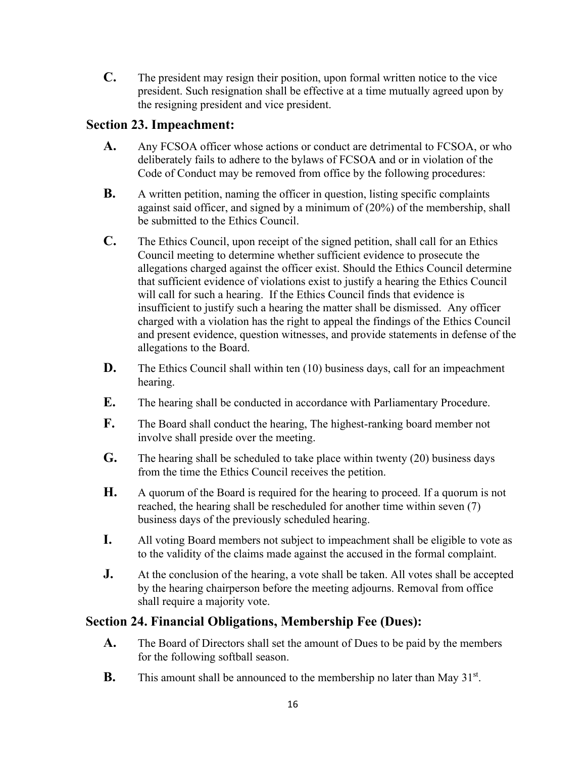**C.** The president may resign their position, upon formal written notice to the vice president. Such resignation shall be effective at a time mutually agreed upon by the resigning president and vice president.

## **Section 23. Impeachment:**

- **A.** Any FCSOA officer whose actions or conduct are detrimental to FCSOA, or who deliberately fails to adhere to the bylaws of FCSOA and or in violation of the Code of Conduct may be removed from office by the following procedures:
- **B.** A written petition, naming the officer in question, listing specific complaints against said officer, and signed by a minimum of (20%) of the membership, shall be submitted to the Ethics Council.
- **C.** The Ethics Council, upon receipt of the signed petition, shall call for an Ethics Council meeting to determine whether sufficient evidence to prosecute the allegations charged against the officer exist. Should the Ethics Council determine that sufficient evidence of violations exist to justify a hearing the Ethics Council will call for such a hearing. If the Ethics Council finds that evidence is insufficient to justify such a hearing the matter shall be dismissed. Any officer charged with a violation has the right to appeal the findings of the Ethics Council and present evidence, question witnesses, and provide statements in defense of the allegations to the Board.
- **D.** The Ethics Council shall within ten (10) business days, call for an impeachment hearing.
- **E.** The hearing shall be conducted in accordance with Parliamentary Procedure.
- **F.** The Board shall conduct the hearing, The highest-ranking board member not involve shall preside over the meeting.
- **G.** The hearing shall be scheduled to take place within twenty (20) business days from the time the Ethics Council receives the petition.
- **H.** A quorum of the Board is required for the hearing to proceed. If a quorum is not reached, the hearing shall be rescheduled for another time within seven (7) business days of the previously scheduled hearing.
- **I.** All voting Board members not subject to impeachment shall be eligible to vote as to the validity of the claims made against the accused in the formal complaint.
- **J.** At the conclusion of the hearing, a vote shall be taken. All votes shall be accepted by the hearing chairperson before the meeting adjourns. Removal from office shall require a majority vote.

# **Section 24. Financial Obligations, Membership Fee (Dues):**

- **A.** The Board of Directors shall set the amount of Dues to be paid by the members for the following softball season.
- **B.** This amount shall be announced to the membership no later than May  $31^{st}$ .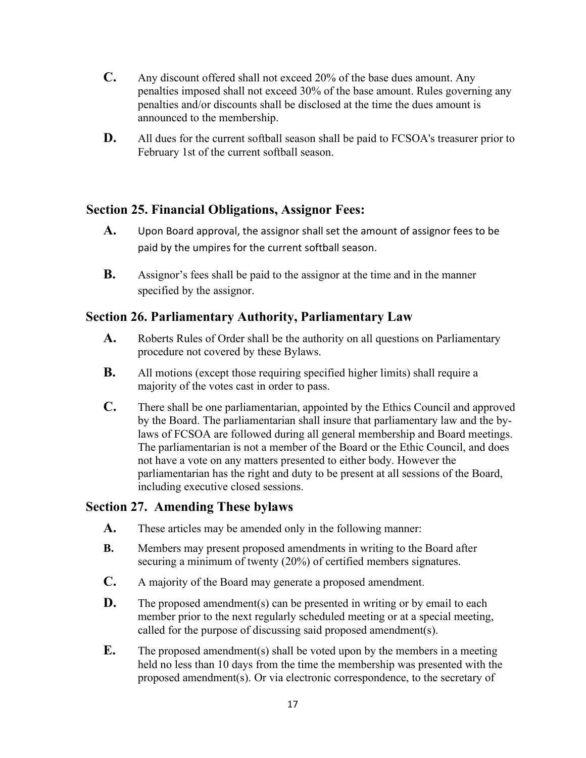- **C.** Any discount offered shall not exceed 20% of the base dues amount. Any penalties imposed shall not exceed 30% of the base amount. Rules governing any penalties and/or discounts shall be disclosed at the time the dues amount is announced to the membership.
- **D.** All dues for the current softball season shall be paid to FCSOA's treasurer prior to February 1st of the current softball season.

## **Section 25. Financial Obligations, Assignor Fees:**

- **A.** Upon Board approval, the assignor shall set the amount of assignor fees to be paid by the umpires for the current softball season.
- **B.** Assignor's fees shall be paid to the assignor at the time and in the manner specified by the assignor.

#### **Section 26. Parliamentary Authority, Parliamentary Law**

- **A.** Roberts Rules of Order shall be the authority on all questions on Parliamentary procedure not covered by these Bylaws.
- **B.** All motions (except those requiring specified higher limits) shall require a majority of the votes cast in order to pass.
- **C.** There shall be one parliamentarian, appointed by the Ethics Council and approved by the Board. The parliamentarian shall insure that parliamentary law and the bylaws of FCSOA are followed during all general membership and Board meetings. The parliamentarian is not a member of the Board or the Ethic Council, and does not have a vote on any matters presented to either body. However the parliamentarian has the right and duty to be present at all sessions of the Board, including executive closed sessions.

#### **Section 27. Amending These bylaws**

- **A.** These articles may be amended only in the following manner:
- **B.** Members may present proposed amendments in writing to the Board after securing a minimum of twenty (20%) of certified members signatures.
- **C.** A majority of the Board may generate a proposed amendment.
- **D.** The proposed amendment(s) can be presented in writing or by email to each member prior to the next regularly scheduled meeting or at a special meeting, called for the purpose of discussing said proposed amendment(s).
- **E.** The proposed amendment(s) shall be voted upon by the members in a meeting held no less than 10 days from the time the membership was presented with the proposed amendment(s). Or via electronic correspondence, to the secretary of